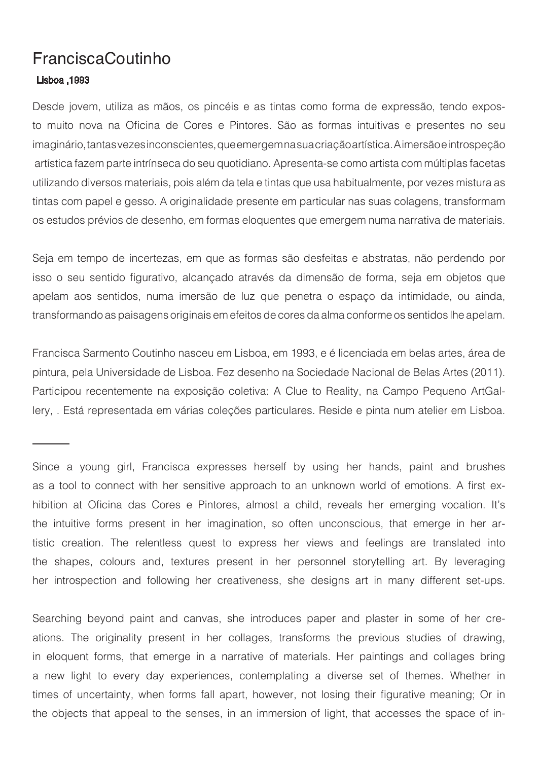## FranciscaCoutinho

## Lisboa ,1993

Desde jovem, utiliza as mãos, os pincéis e as tintas como forma de expressão, tendo exposto muito nova na Oficina de Cores e Pintores. São as formas intuitivas e presentes no seu imaginário, tantas vezes inconscientes, que emergem na sua criação artística. A imersão e introspeção artística fazem parte intrínseca do seu quotidiano. Apresenta-se como artista com múltiplas facetas utilizando diversos materiais, pois além da tela e tintas que usa habitualmente, por vezes mistura as tintas com papel e gesso. A originalidade presente em particular nas suas colagens, transformam os estudos prévios de desenho, em formas eloquentes que emergem numa narrativa de materiais.

Seja em tempo de incertezas, em que as formas são desfeitas e abstratas, não perdendo por isso o seu sentido figurativo, alcançado através da dimensão de forma, seja em objetos que apelam aos sentidos, numa imersão de luz que penetra o espaço da intimidade, ou ainda, transformando as paisagens originais em efeitos de cores da alma conforme os sentidos lhe apelam.

Francisca Sarmento Coutinho nasceu em Lisboa, em 1993, e é licenciada em belas artes, área de pintura, pela Universidade de Lisboa. Fez desenho na Sociedade Nacional de Belas Artes (2011). Participou recentemente na exposição coletiva: A Clue to Reality, na Campo Pequeno ArtGallery, . Está representada em várias coleções particulares. Reside e pinta num atelier em Lisboa.

Since a young girl, Francisca expresses herself by using her hands, paint and brushes as a tool to connect with her sensitive approach to an unknown world of emotions. A first exhibition at Oficina das Cores e Pintores, almost a child, reveals her emerging vocation. It's the intuitive forms present in her imagination, so often unconscious, that emerge in her artistic creation. The relentless quest to express her views and feelings are translated into the shapes, colours and, textures present in her personnel storytelling art. By leveraging her introspection and following her creativeness, she designs art in many different set-ups.

Searching beyond paint and canvas, she introduces paper and plaster in some of her creations. The originality present in her collages, transforms the previous studies of drawing, in eloquent forms, that emerge in a narrative of materials. Her paintings and collages bring a new light to every day experiences, contemplating a diverse set of themes. Whether in times of uncertainty, when forms fall apart, however, not losing their figurative meaning; Or in the objects that appeal to the senses, in an immersion of light, that accesses the space of in